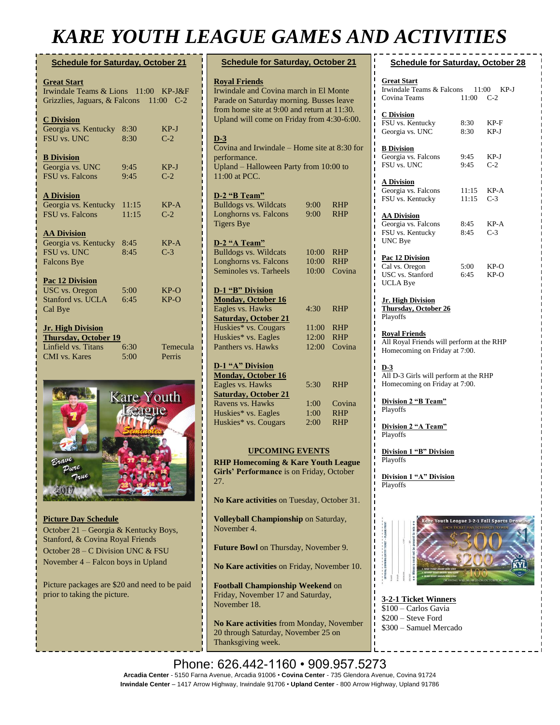## *KARE YOUTH LEAGUE GAMES AND ACTIVITIES*

| <b>Schedule for Saturday, October 21</b><br><b>Great Start</b><br>Irwindale Teams & Lions 11:00<br>$KP-J\&F$<br>Grizzlies, Jaguars, & Falcons 11:00<br>$C-2$ |                    |                    |  |  |
|--------------------------------------------------------------------------------------------------------------------------------------------------------------|--------------------|--------------------|--|--|
|                                                                                                                                                              |                    |                    |  |  |
| <b>B</b> Division<br>Georgia vs. UNC<br><b>FSU</b> vs. Falcons                                                                                               | 9:45<br>9:45       | $KP-J$<br>$C-2$    |  |  |
| <b>A Division</b><br>Georgia vs. Kentucky<br>FSU vs. Falcons                                                                                                 | 11:15<br>11:15     | $KP-A$<br>$C-2$    |  |  |
| <b>AA Division</b><br>Georgia vs. Kentucky<br>FSU vs. UNC<br><b>Falcons Bye</b>                                                                              | 8:45<br>8:45       | $KP-A$<br>$C-3$    |  |  |
| Pac 12 Division<br><b>USC</b> vs. Oregon<br>Stanford vs. UCLA                                                                                                | $5:00^{-}$<br>6:45 | $KP-O$<br>$KP-O$   |  |  |
| Cal Bye<br><b>Jr. High Division</b><br><b>Thursday, October 19</b>                                                                                           |                    |                    |  |  |
| Linfield vs. Titans<br>CMI vs. Kares                                                                                                                         | 6:30<br>5:00       | Temecula<br>Perris |  |  |



**Picture Day Schedule** October 21 – Georgia & Kentucky Boys, Stanford, & Covina Royal Friends October 28 – C Division UNC & FSU November 4 – Falcon boys in Upland

Picture packages are \$20 and need to be paid prior to taking the picture.

| <b>Schedule for Saturday, October 21</b>                                                                                                                                                                |                         |                      |  |  |
|---------------------------------------------------------------------------------------------------------------------------------------------------------------------------------------------------------|-------------------------|----------------------|--|--|
| <b>Royal Friends</b><br>Irwindale and Covina march in El Monte<br>Parade on Saturday morning. Busses leave<br>from home site at 9:00 and return at 11:30.<br>Upland will come on Friday from 4:30-6:00. |                         |                      |  |  |
| $D-3$<br>Covina and Irwindale – Home site at 8:30 for<br>performance.<br>Upland - Halloween Party from 10:00 to<br>11:00 at PCC.                                                                        |                         |                      |  |  |
| D-2 "B Team"<br><b>Bulldogs vs. Wildcats</b><br>Longhorns vs. Falcons<br><b>Tigers Bye</b>                                                                                                              | 9:00<br>9:00            | RHP<br>RHP           |  |  |
| D-2 "A Team"<br><b>Bulldogs vs. Wildcats</b><br>Longhorns vs. Falcons<br>Seminoles vs. Tarheels                                                                                                         | 10:00<br>10:00<br>10:00 | RHP<br>RHP<br>Covina |  |  |
| D-1 "B" Division<br><b>Monday, October 16</b>                                                                                                                                                           |                         |                      |  |  |
| Eagles vs. Hawks<br><b>Saturday, October 21</b><br>Huskies* vs. Cougars                                                                                                                                 | 4:30<br>11:00           | RHP<br><b>RHP</b>    |  |  |
| Huskies* vs. Eagles<br>Panthers vs. Hawks                                                                                                                                                               | 12:00<br>12:00          | <b>RHP</b><br>Covina |  |  |
| D-1 "A" Division<br><b>Monday, October 16</b><br>Eagles vs. Hawks                                                                                                                                       | 5:30                    | RHP                  |  |  |
| <b>Saturday, October 21</b><br>Ravens vs. Hawks                                                                                                                                                         | 1:00                    | Covina               |  |  |
| Huskies* vs. Eagles<br>Huskies* vs. Cougars                                                                                                                                                             | 1:00<br>2:00            | RHP<br>RHP           |  |  |
| <b>UPCOMING EVENTS</b><br><b>RHP Homecoming &amp; Kare Youth League</b><br>Girls' Performance is on Friday, October                                                                                     |                         |                      |  |  |
| 27.<br>No Kare activities on Tuesday, October 31.                                                                                                                                                       |                         |                      |  |  |
| Volleyball Championship on Saturday,<br>November 4.                                                                                                                                                     |                         |                      |  |  |
| Future Bowl on Thursday, November 9.                                                                                                                                                                    |                         |                      |  |  |
| No Kare activities on Friday, November 10.                                                                                                                                                              |                         |                      |  |  |

**Football Championship Weekend** on Friday, November 17 and Saturday, November 18.

**No Kare activities** from Monday, November 20 through Saturday, November 25 on Thanksgiving week.

|                                                                                                    |                      | $\overline{\phantom{a}}$ $\overline{\phantom{a}}$ |  |  |
|----------------------------------------------------------------------------------------------------|----------------------|---------------------------------------------------|--|--|
| <b>Schedule for Saturday, October 28</b>                                                           |                      |                                                   |  |  |
| <b>Great Start</b><br>Irwindale Teams & Falcons 11:00 KP-J<br>Covina Teams                         | 11:00 C-2            |                                                   |  |  |
| <b>C</b> Division<br>FSU vs. Kentucky<br>Georgia vs. UNC                                           | 8:30<br>8:30         | KP-F<br>KP-J                                      |  |  |
| <b>B</b> Division<br>Georgia vs. Falcons<br>FSU vs. UNC                                            | 9:45<br>9:45         | KP-J<br>$C-2$                                     |  |  |
| <b>A Division</b><br>Georgia vs. Falcons<br>FSU vs. Kentucky                                       | 11:15<br>$11:15$ C-3 | KP-A                                              |  |  |
| <u>AA Division</u><br>Georgia vs. Falcons<br>FSU vs. Kentucky<br><b>UNC</b> Bye                    | 8:45<br>8:45         | KP-A<br>$C-3$                                     |  |  |
| Pac 12 Division<br>Cal vs. Oregon<br>USC vs. Stanford<br><b>UCLA Bye</b>                           | 5:00<br>6:45         | KP-O<br>KP-O                                      |  |  |
| <u> Jr. High Division</u><br><b>Thursday, October 26</b><br>Playoffs                               |                      |                                                   |  |  |
| <b>Royal Friends</b><br>All Royal Friends will perform at the RHP<br>Homecoming on Friday at 7:00. |                      |                                                   |  |  |
| $D-3$<br>All D-3 Girls will perform at the RHP<br>Homecoming on Friday at 7:00.                    |                      |                                                   |  |  |
| Division 2 "B Team"<br>Playoffs                                                                    |                      |                                                   |  |  |
| Division 2 "A Team"<br>Playoffs                                                                    |                      |                                                   |  |  |
| <b>Division 1 "B" Division</b><br>Playoffs                                                         |                      |                                                   |  |  |
| Division 1 "A" Division<br><b>Playoffs</b>                                                         |                      |                                                   |  |  |



**3-2-1 Ticket Winners** \$100 – Carlos Gavia \$200 – Steve Ford \$300 – Samuel Mercado

Phone: 626.442-1160 · 909.957.5273 Arcadia Center - 5150 Farna Avenue, Arcadia 91006 • Covina Center - 735 Glendora Avenue, Covina 91724<br>Arcadia Center - 5150 Farna Avenue, Arcadia 91006 • Covina Center - 735 Glendora Avenue, Covina 91724 **Irwindale Center** – 1417 Arrow Highway, Irwindale 91706 • **Upland Center** - 800 Arrow Highway, Upland 91786